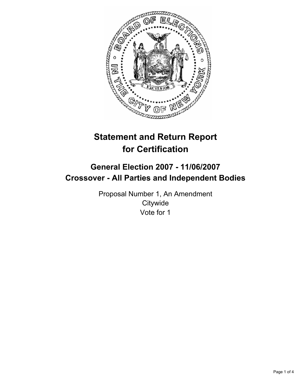

# **Statement and Return Report for Certification**

## **General Election 2007 - 11/06/2007 Crossover - All Parties and Independent Bodies**

Proposal Number 1, An Amendment **Citywide** Vote for 1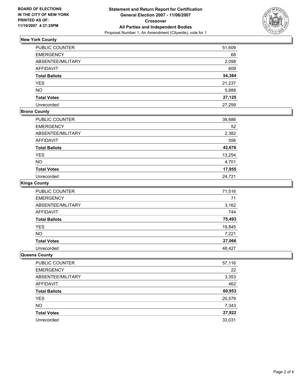

### **New York County**

| PUBLIC COUNTER     | 51,609 |
|--------------------|--------|
| EMERGENCY          | 68     |
| ABSENTEE/MILITARY  | 2,098  |
| AFFIDAVIT          | 609    |
| Total Ballots      | 54,384 |
| YES                | 21,237 |
| NΟ                 | 5,888  |
| <b>Total Votes</b> | 27,125 |
| Unrecorded         | 27,259 |

#### **Bronx County**

| PUBLIC COUNTER       | 39,686 |
|----------------------|--------|
| <b>EMERGENCY</b>     | 52     |
| ABSENTEE/MILITARY    | 2,382  |
| <b>AFFIDAVIT</b>     | 556    |
| <b>Total Ballots</b> | 42,676 |
| <b>YES</b>           | 13,254 |
| <b>NO</b>            | 4,701  |
| <b>Total Votes</b>   | 17,955 |
| Unrecorded           | 24,721 |

#### **Kings County**

| PUBLIC COUNTER       | 71,516 |
|----------------------|--------|
| <b>EMERGENCY</b>     | 71     |
| ABSENTEE/MILITARY    | 3,162  |
| AFFIDAVIT            | 744    |
| <b>Total Ballots</b> | 75,493 |
| YES                  | 19,845 |
| <b>NO</b>            | 7,221  |
| <b>Total Votes</b>   | 27,066 |
| Unrecorded           | 48,427 |

#### **Queens County**

| 22<br><b>EMERGENCY</b><br>ABSENTEE/MILITARY<br>3,353<br>462<br>AFFIDAVIT |
|--------------------------------------------------------------------------|
|                                                                          |
|                                                                          |
|                                                                          |
| 60,953<br><b>Total Ballots</b>                                           |
| 20,579<br><b>YES</b>                                                     |
| <b>NO</b><br>7,343                                                       |
| 27,922<br><b>Total Votes</b>                                             |
| 33,031<br>Unrecorded                                                     |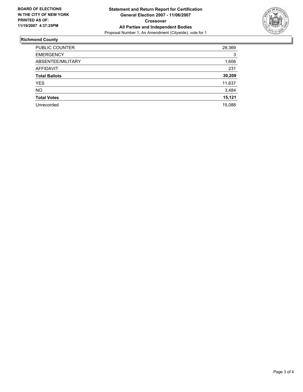

#### **Richmond County**

| PUBLIC COUNTER       | 28,369 |
|----------------------|--------|
| <b>EMERGENCY</b>     | 3      |
| ABSENTEE/MILITARY    | 1,606  |
| AFFIDAVIT            | 231    |
| <b>Total Ballots</b> | 30,209 |
| YES.                 | 11,637 |
| <b>NO</b>            | 3,484  |
| <b>Total Votes</b>   | 15,121 |
| Unrecorded           | 15,088 |